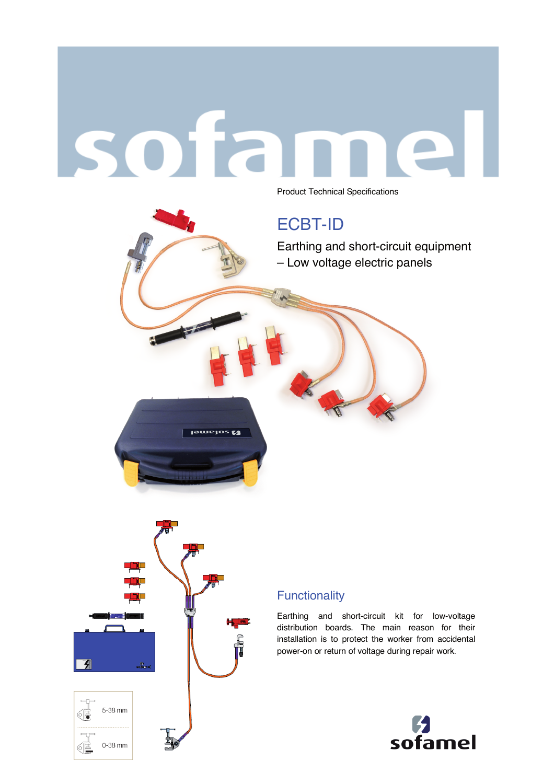# sofa

Product Technical Specifications

# ECBT-ID

Earthing and short-circuit equipment – Low voltage electric panels



**Jemetos &** 

### **Functionality**

Earthing and short-circuit kit for low-voltage distribution boards. The main reason for their installation is to protect the worker from accidental power-on or return of voltage during repair work.